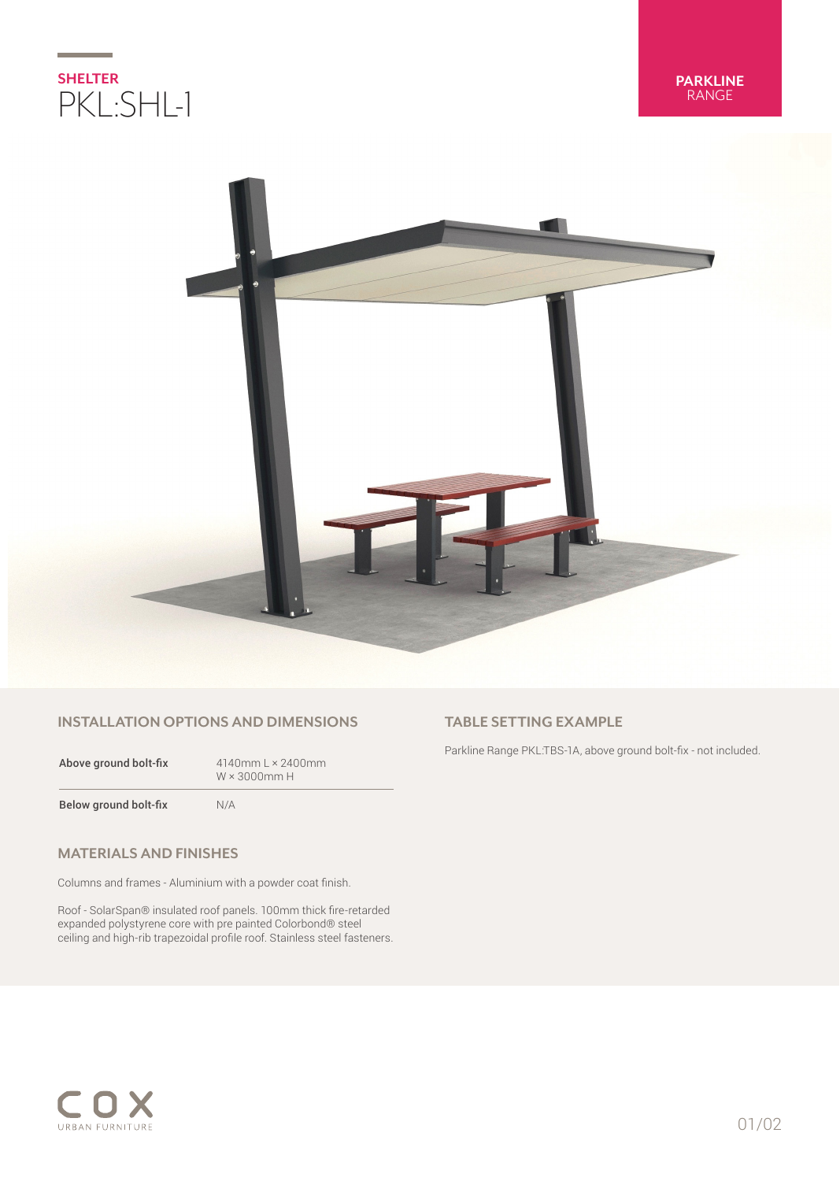



## **INSTALLATION OPTIONS AND DIMENSIONS**

| Above ground bolt-fix | $4140$ mm L $\times$ 2400mm<br>$W \times 3000$ mm H |
|-----------------------|-----------------------------------------------------|
| Below ground bolt-fix | N/A                                                 |

## **MATERIALS AND FINISHES**

Columns and frames - Aluminium with a powder coat finish.

Roof - SolarSpan® insulated roof panels. 100mm thick fire-retarded expanded polystyrene core with pre painted Colorbond® steel ceiling and high-rib trapezoidal profile roof. Stainless steel fasteners.

# **TABLE SETTING EXAMPLE**

Parkline Range PKL:TBS-1A, above ground bolt-fix - not included.